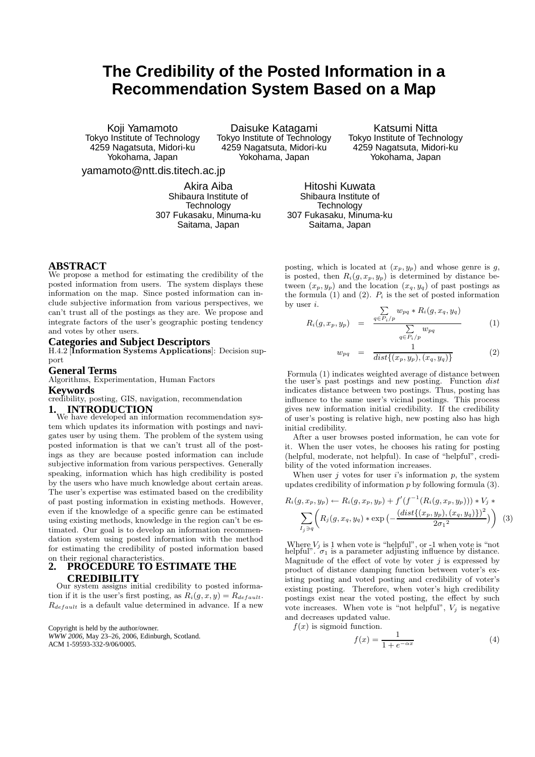# **The Credibility of the Posted Information in a Recommendation System Based on a Map**

Koji Yamamoto Tokyo Institute of Technology 4259 Nagatsuta, Midori-ku Yokohama, Japan

Daisuke Katagami Tokyo Institute of Technology 4259 Nagatsuta, Midori-ku Yokohama, Japan

Katsumi Nitta Tokyo Institute of Technology 4259 Nagatsuta, Midori-ku Yokohama, Japan

yamamoto@ntt.dis.titech.ac.jp

Akira Aiba Shibaura Institute of **Technology** 307 Fukasaku, Minuma-ku Saitama, Japan

Hitoshi Kuwata Shibaura Institute of Technology 307 Fukasaku, Minuma-ku Saitama, Japan

#### **ABSTRACT**

We propose a method for estimating the credibility of the posted information from users. The system displays these information on the map. Since posted information can include subjective information from various perspectives, we can't trust all of the postings as they are. We propose and integrate factors of the user's geographic posting tendency and votes by other users.

### **Categories and Subject Descriptors**

H.4.2 [Information Systems Applications]: Decision support

#### **General Terms**

Algorithms, Experimentation, Human Factors

#### **Keywords**

credibility, posting, GIS, navigation, recommendation

**1. INTRODUCTION** We have developed an information recommendation system which updates its information with postings and navigates user by using them. The problem of the system using posted information is that we can't trust all of the postings as they are because posted information can include subjective information from various perspectives. Generally speaking, information which has high credibility is posted by the users who have much knowledge about certain areas. The user's expertise was estimated based on the credibility of past posting information in existing methods. However, even if the knowledge of a specific genre can be estimated using existing methods, knowledge in the region can't be estimated. Our goal is to develop an information recommendation system using posted information with the method for estimating the credibility of posted information based

#### on their regional characteristics<br>2. PROCEDURE TO F **2. PROCEDURE TO ESTIMATE THE CREDIBILITY**

Our system assigns initial credibility to posted information if it is the user's first posting, as  $R_i(g, x, y) = R_{default}$ .  $R_{default}$  is a default value determined in advance. If a new

Copyright is held by the author/owner. *WWW 2006,* May 23–26, 2006, Edinburgh, Scotland. ACM 1-59593-332-9/06/0005.

posting, which is located at  $(x_p, y_p)$  and whose genre is  $g$ , is posted, then  $R_i(g, x_p, y_p)$  is determined by distance between  $(x_p, y_p)$  and the location  $(x_q, y_q)$  of past postings as the formula (1) and (2).  $P_i$  is the set of posted information by user  $i$ .

$$
R_i(g, x_p, y_p) = \frac{\sum\limits_{q \in P_i/p} w_{pq} * R_i(g, x_q, y_q)}{\sum\limits_{q \in P_i/p} w_{pq}}
$$
(1)

$$
w_{pq} = \frac{1}{dist\{(x_p, y_p), (x_q, y_q)\}}
$$
(2)

Formula (1) indicates weighted average of distance between the user's past postings and new posting. Function *dist* indicates distance between two postings. Thus, posting has influence to the same user's vicinal postings. This process gives new information initial credibility. If the credibility of user's posting is relative high, new posting also has high initial credibility.

After a user browses posted information, he can vote for it. When the user votes, he chooses his rating for posting (helpful, moderate, not helpful). In case of "helpful", credibility of the voted information increases.

When user  $j$  votes for user  $i$ 's information  $p$ , the system updates credibility of information  $p$  by following formula  $(3)$ .

$$
R_i(g, x_p, y_p) \leftarrow R_i(g, x_p, y_p) + f'(f^{-1}(R_i(g, x_p, y_p))) * V_j *\sum_{I_j \ni q} \left( R_j(g, x_q, y_q) * \exp\left(-\frac{(dist\{(x_p, y_p), (x_q, y_q)\})^2}{2\sigma_1^2}\right) \right) (3)
$$

Where  $V_i$  is 1 when vote is "helpful", or -1 when vote is "not helpful".  $\sigma_1$  is a parameter adjusting influence by distance. Magnitude of the effect of vote by voter  $j$  is expressed by product of distance damping function between voter's existing posting and voted posting and credibility of voter's existing posting. Therefore, when voter's high credibility postings exist near the voted posting, the effect by such vote increases. When vote is "not helpful",  $V_i$  is negative and decreases updated value.

 $f(x)$  is sigmoid function.

$$
f(x) = \frac{1}{1 + e^{-\alpha x}}\tag{4}
$$